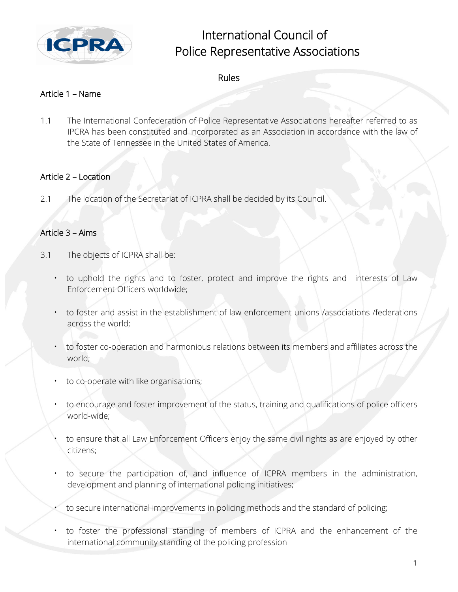

# International Council of Police Representative Associations

# Rules

## Article 1 – Name

1.1 The International Confederation of Police Representative Associations hereafter referred to as IPCRA has been constituted and incorporated as an Association in accordance with the law of the State of Tennessee in the United States of America.

#### Article 2 – Location

2.1 The location of the Secretariat of ICPRA shall be decided by its Council.

## Article 3 – Aims

- 3.1 The objects of ICPRA shall be:
	- to uphold the rights and to foster, protect and improve the rights and interests of Law Enforcement Officers worldwide;
	- to foster and assist in the establishment of law enforcement unions /associations /federations across the world;
	- to foster co-operation and harmonious relations between its members and affiliates across the world;
	- to co-operate with like organisations;
	- to encourage and foster improvement of the status, training and qualifications of police officers world-wide;
	- to ensure that all Law Enforcement Officers enjoy the same civil rights as are enjoyed by other citizens;
	- to secure the participation of, and influence of ICPRA members in the administration, development and planning of international policing initiatives;
	- to secure international improvements in policing methods and the standard of policing;
	- to foster the professional standing of members of ICPRA and the enhancement of the international community standing of the policing profession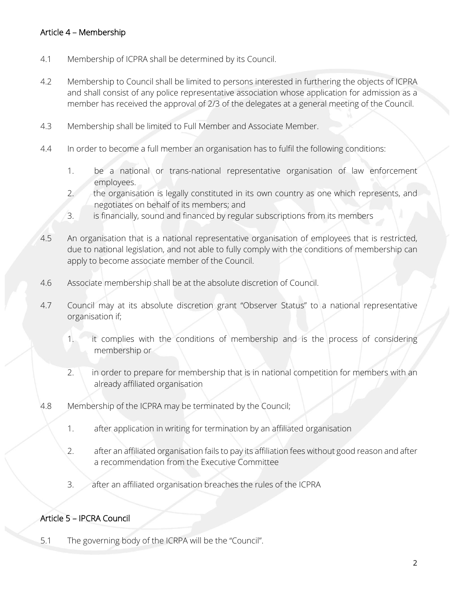# Article 4 – Membership

- 4.1 Membership of ICPRA shall be determined by its Council.
- 4.2 Membership to Council shall be limited to persons interested in furthering the objects of ICPRA and shall consist of any police representative association whose application for admission as a member has received the approval of 2/3 of the delegates at a general meeting of the Council.
- 4.3 Membership shall be limited to Full Member and Associate Member.
- 4.4 In order to become a full member an organisation has to fulfil the following conditions:
	- 1. be a national or trans-national representative organisation of law enforcement employees.
	- 2. the organisation is legally constituted in its own country as one which represents, and negotiates on behalf of its members; and
	- 3. is financially, sound and financed by regular subscriptions from its members
- 4.5 An organisation that is a national representative organisation of employees that is restricted, due to national legislation, and not able to fully comply with the conditions of membership can apply to become associate member of the Council.
- 4.6 Associate membership shall be at the absolute discretion of Council.
- 4.7 Council may at its absolute discretion grant "Observer Status" to a national representative organisation if;
	- 1. it complies with the conditions of membership and is the process of considering membership or
	- 2. in order to prepare for membership that is in national competition for members with an already affiliated organisation
- 4.8 Membership of the ICPRA may be terminated by the Council;
	- 1. after application in writing for termination by an affiliated organisation
	- 2. after an affiliated organisation fails to pay its affiliation fees without good reason and after a recommendation from the Executive Committee
	- 3. after an affiliated organisation breaches the rules of the ICPRA

#### Article 5 – IPCRA Council

5.1 The governing body of the ICRPA will be the "Council".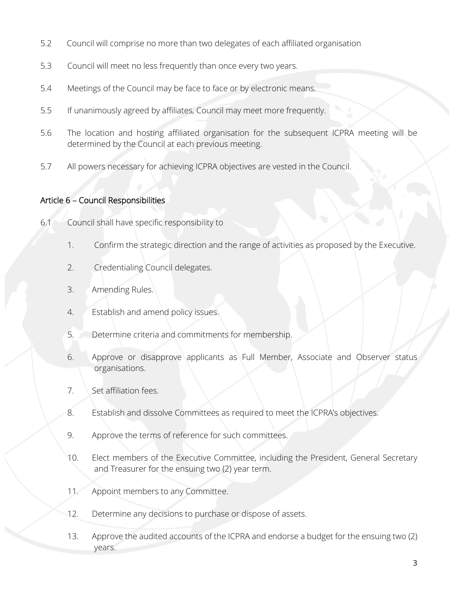- 5.2 Council will comprise no more than two delegates of each affiliated organisation
- 5.3 Council will meet no less frequently than once every two years.
- 5.4 Meetings of the Council may be face to face or by electronic means.
- 5.5 If unanimously agreed by affiliates, Council may meet more frequently.
- 5.6 The location and hosting affiliated organisation for the subsequent ICPRA meeting will be determined by the Council at each previous meeting.
- 5.7 All powers necessary for achieving ICPRA objectives are vested in the Council.

#### Article 6 – Council Responsibilities

- 6.1 Council shall have specific responsibility to
	- 1. Confirm the strategic direction and the range of activities as proposed by the Executive.
	- 2. Credentialing Council delegates.
	- 3. Amending Rules.
	- 4. Establish and amend policy issues.
	- 5. Determine criteria and commitments for membership.
	- 6. Approve or disapprove applicants as Full Member, Associate and Observer status organisations.
	- 7. Set affiliation fees.
	- 8. Establish and dissolve Committees as required to meet the ICPRA's objectives.
	- 9. Approve the terms of reference for such committees.
	- 10. Elect members of the Executive Committee, including the President, General Secretary and Treasurer for the ensuing two (2) year term.
	- 11. Appoint members to any Committee.
	- 12. Determine any decisions to purchase or dispose of assets.
	- 13. Approve the audited accounts of the ICPRA and endorse a budget for the ensuing two (2) years.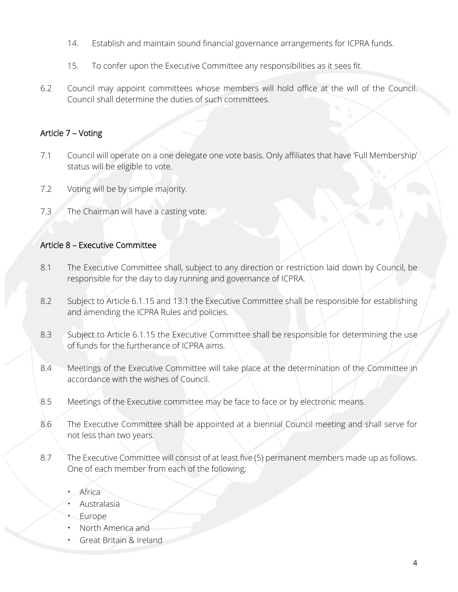- 14. Establish and maintain sound financial governance arrangements for ICPRA funds.
- 15. To confer upon the Executive Committee any responsibilities as it sees fit.
- 6.2 Council may appoint committees whose members will hold office at the will of the Council. Council shall determine the duties of such committees.

## Article 7 – Voting

- 7.1 Council will operate on a one delegate one vote basis. Only affiliates that have 'Full Membership' status will be eligible to vote.
- 7.2 Voting will be by simple majority.
- 7.3 The Chairman will have a casting vote.

#### Article 8 – Executive Committee

- 8.1 The Executive Committee shall, subject to any direction or restriction laid down by Council, be responsible for the day to day running and governance of ICPRA.
- 8.2 Subject to Article 6.1.15 and 13.1 the Executive Committee shall be responsible for establishing and amending the ICPRA Rules and policies.
- 8.3 Subject to Article 6.1.15 the Executive Committee shall be responsible for determining the use of funds for the furtherance of ICPRA aims.
- 8.4 Meetings of the Executive Committee will take place at the determination of the Committee in accordance with the wishes of Council.
- 8.5 Meetings of the Executive committee may be face to face or by electronic means.
- 8.6 The Executive Committee shall be appointed at a biennial Council meeting and shall serve for not less than two years.
- 8.7 The Executive Committee will consist of at least five (5) permanent members made up as follows. One of each member from each of the following;
	- Africa
	- Australasia
	- Europe
	- North America and
	- Great Britain & Ireland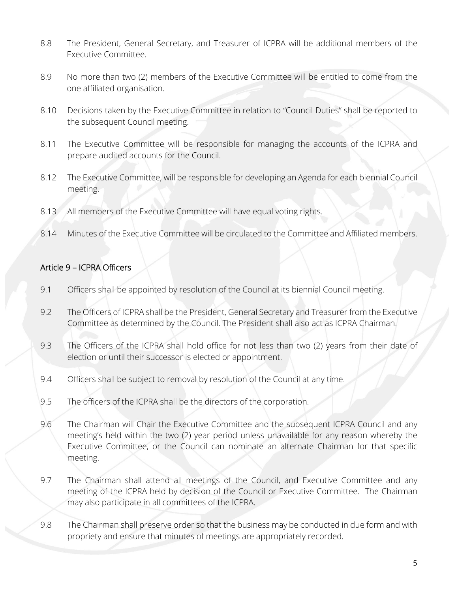- 8.8 The President, General Secretary, and Treasurer of ICPRA will be additional members of the Executive Committee.
- 8.9 No more than two (2) members of the Executive Committee will be entitled to come from the one affiliated organisation.
- 8.10 Decisions taken by the Executive Committee in relation to "Council Duties" shall be reported to the subsequent Council meeting.
- 8.11 The Executive Committee will be responsible for managing the accounts of the ICPRA and prepare audited accounts for the Council.
- 8.12 The Executive Committee, will be responsible for developing an Agenda for each biennial Council meeting.
- 8.13 All members of the Executive Committee will have equal voting rights.
- 8.14 Minutes of the Executive Committee will be circulated to the Committee and Affiliated members.

# Article 9 – ICPRA Officers

- 9.1 Officers shall be appointed by resolution of the Council at its biennial Council meeting.
- 9.2 The Officers of ICPRA shall be the President, General Secretary and Treasurer from the Executive Committee as determined by the Council. The President shall also act as ICPRA Chairman.
- 9.3 The Officers of the ICPRA shall hold office for not less than two (2) years from their date of election or until their successor is elected or appointment.
- 9.4 Officers shall be subject to removal by resolution of the Council at any time.
- 9.5 The officers of the ICPRA shall be the directors of the corporation.
- 9.6 The Chairman will Chair the Executive Committee and the subsequent ICPRA Council and any meeting's held within the two (2) year period unless unavailable for any reason whereby the Executive Committee, or the Council can nominate an alternate Chairman for that specific meeting.
- 9.7 The Chairman shall attend all meetings of the Council, and Executive Committee and any meeting of the ICPRA held by decision of the Council or Executive Committee. The Chairman may also participate in all committees of the ICPRA.
- 9.8 The Chairman shall preserve order so that the business may be conducted in due form and with propriety and ensure that minutes of meetings are appropriately recorded.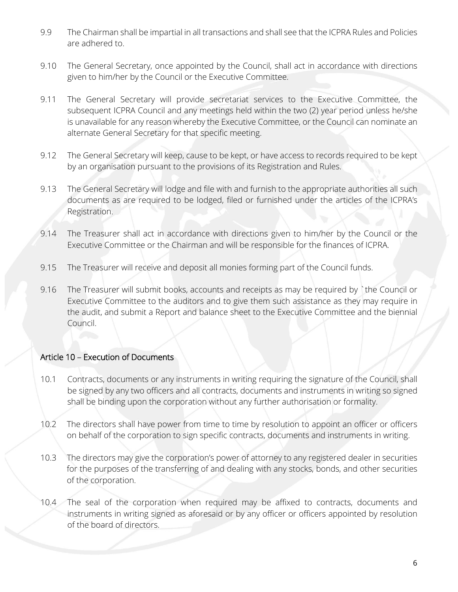- 9.9 The Chairman shall be impartial in all transactions and shall see that the ICPRA Rules and Policies are adhered to.
- 9.10 The General Secretary, once appointed by the Council, shall act in accordance with directions given to him/her by the Council or the Executive Committee.
- 9.11 The General Secretary will provide secretariat services to the Executive Committee, the subsequent ICPRA Council and any meetings held within the two (2) year period unless he/she is unavailable for any reason whereby the Executive Committee, or the Council can nominate an alternate General Secretary for that specific meeting.
- 9.12 The General Secretary will keep, cause to be kept, or have access to records required to be kept by an organisation pursuant to the provisions of its Registration and Rules.
- 9.13 The General Secretary will lodge and file with and furnish to the appropriate authorities all such documents as are required to be lodged, filed or furnished under the articles of the ICPRA's Registration.
- 9.14 The Treasurer shall act in accordance with directions given to him/her by the Council or the Executive Committee or the Chairman and will be responsible for the finances of ICPRA.
- 9.15 The Treasurer will receive and deposit all monies forming part of the Council funds.
- 9.16 The Treasurer will submit books, accounts and receipts as may be required by `the Council or Executive Committee to the auditors and to give them such assistance as they may require in the audit, and submit a Report and balance sheet to the Executive Committee and the biennial Council.

# Article 10 – Execution of Documents

- 10.1 Contracts, documents or any instruments in writing requiring the signature of the Council, shall be signed by any two officers and all contracts, documents and instruments in writing so signed shall be binding upon the corporation without any further authorisation or formality.
- 10.2 The directors shall have power from time to time by resolution to appoint an officer or officers on behalf of the corporation to sign specific contracts, documents and instruments in writing.
- 10.3 The directors may give the corporation's power of attorney to any registered dealer in securities for the purposes of the transferring of and dealing with any stocks, bonds, and other securities of the corporation.
- 10.4 The seal of the corporation when required may be affixed to contracts, documents and instruments in writing signed as aforesaid or by any officer or officers appointed by resolution of the board of directors.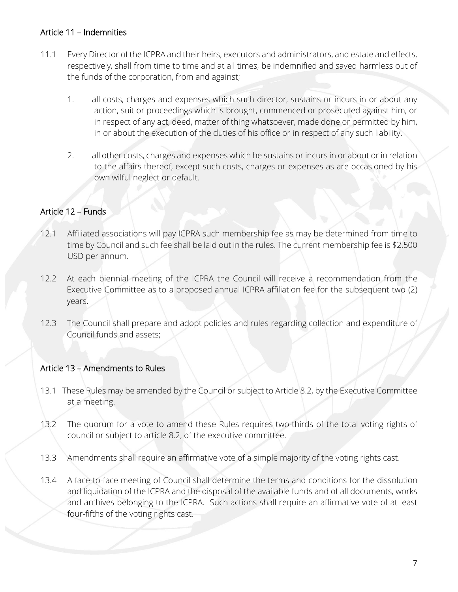## Article 11 – Indemnities

- 11.1 Every Director of the ICPRA and their heirs, executors and administrators, and estate and effects, respectively, shall from time to time and at all times, be indemnified and saved harmless out of the funds of the corporation, from and against;
	- 1. all costs, charges and expenses which such director, sustains or incurs in or about any action, suit or proceedings which is brought, commenced or prosecuted against him, or in respect of any act, deed, matter of thing whatsoever, made done or permitted by him, in or about the execution of the duties of his office or in respect of any such liability.
	- 2. all other costs, charges and expenses which he sustains or incurs in or about or in relation to the affairs thereof, except such costs, charges or expenses as are occasioned by his own wilful neglect or default.

## Article 12 – Funds

- 12.1 Affiliated associations will pay ICPRA such membership fee as may be determined from time to time by Council and such fee shall be laid out in the rules. The current membership fee is \$2,500 USD per annum.
- 12.2 At each biennial meeting of the ICPRA the Council will receive a recommendation from the Executive Committee as to a proposed annual ICPRA affiliation fee for the subsequent two (2) years.
- 12.3 The Council shall prepare and adopt policies and rules regarding collection and expenditure of Council funds and assets;

# Article 13 – Amendments to Rules

- 13.1 These Rules may be amended by the Council or subject to Article 8.2, by the Executive Committee at a meeting.
- 13.2 The quorum for a vote to amend these Rules requires two-thirds of the total voting rights of council or subject to article 8.2, of the executive committee.
- 13.3 Amendments shall require an affirmative vote of a simple majority of the voting rights cast.
- 13.4 A face-to-face meeting of Council shall determine the terms and conditions for the dissolution and liquidation of the ICPRA and the disposal of the available funds and of all documents, works and archives belonging to the ICPRA. Such actions shall require an affirmative vote of at least four-fifths of the voting rights cast.